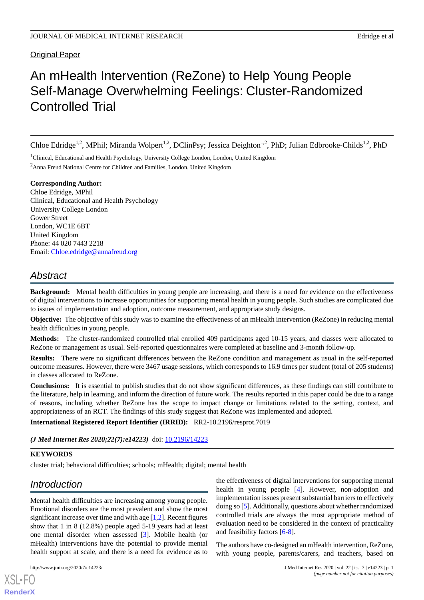Original Paper

# An mHealth Intervention (ReZone) to Help Young People Self-Manage Overwhelming Feelings: Cluster-Randomized Controlled Trial

Chloe Edridge<sup>1,2</sup>, MPhil; Miranda Wolpert<sup>1,2</sup>, DClinPsy; Jessica Deighton<sup>1,2</sup>, PhD; Julian Edbrooke-Childs<sup>1,2</sup>, PhD

<sup>1</sup>Clinical, Educational and Health Psychology, University College London, London, United Kingdom <sup>2</sup>Anna Freud National Centre for Children and Families, London, United Kingdom

**Corresponding Author:**

Chloe Edridge, MPhil Clinical, Educational and Health Psychology University College London Gower Street London, WC1E 6BT United Kingdom Phone: 44 020 7443 2218 Email: [Chloe.edridge@annafreud.org](mailto:Chloe.edridge@annafreud.org)

# *Abstract*

**Background:** Mental health difficulties in young people are increasing, and there is a need for evidence on the effectiveness of digital interventions to increase opportunities for supporting mental health in young people. Such studies are complicated due to issues of implementation and adoption, outcome measurement, and appropriate study designs.

**Objective:** The objective of this study was to examine the effectiveness of an mHealth intervention (ReZone) in reducing mental health difficulties in young people.

**Methods:** The cluster-randomized controlled trial enrolled 409 participants aged 10-15 years, and classes were allocated to ReZone or management as usual. Self-reported questionnaires were completed at baseline and 3-month follow-up.

**Results:** There were no significant differences between the ReZone condition and management as usual in the self-reported outcome measures. However, there were 3467 usage sessions, which corresponds to 16.9 times per student (total of 205 students) in classes allocated to ReZone.

**Conclusions:** It is essential to publish studies that do not show significant differences, as these findings can still contribute to the literature, help in learning, and inform the direction of future work. The results reported in this paper could be due to a range of reasons, including whether ReZone has the scope to impact change or limitations related to the setting, context, and appropriateness of an RCT. The findings of this study suggest that ReZone was implemented and adopted.

**International Registered Report Identifier (IRRID):** RR2-10.2196/resprot.7019

*(J Med Internet Res 2020;22(7):e14223)* doi:  $10.2196/14223$ 

### **KEYWORDS**

cluster trial; behavioral difficulties; schools; mHealth; digital; mental health

# *Introduction*

Mental health difficulties are increasing among young people. Emotional disorders are the most prevalent and show the most significant increase over time and with age [[1,](#page-4-0)[2\]](#page-4-1). Recent figures show that 1 in 8 (12.8%) people aged 5-19 years had at least one mental disorder when assessed [[3\]](#page-4-2). Mobile health (or mHealth) interventions have the potential to provide mental health support at scale, and there is a need for evidence as to

[XSL](http://www.w3.org/Style/XSL)•FO **[RenderX](http://www.renderx.com/)**

the effectiveness of digital interventions for supporting mental health in young people [[4\]](#page-4-3). However, non-adoption and implementation issues present substantial barriers to effectively doing so [\[5](#page-4-4)]. Additionally, questions about whether randomized controlled trials are always the most appropriate method of evaluation need to be considered in the context of practicality and feasibility factors [\[6](#page-4-5)[-8](#page-4-6)].

The authors have co-designed an mHealth intervention, ReZone, with young people, parents/carers, and teachers, based on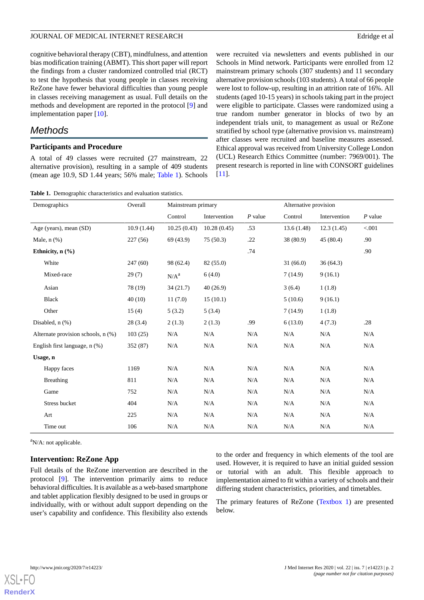#### JOURNAL OF MEDICAL INTERNET RESEARCH Education of the state of all the state of all the state of all the state of all the state of all the state of all the state of all the state of all the state of all the state of all th

cognitive behavioral therapy (CBT), mindfulness, and attention bias modification training (ABMT). This short paper will report the findings from a cluster randomized controlled trial (RCT) to test the hypothesis that young people in classes receiving ReZone have fewer behavioral difficulties than young people in classes receiving management as usual. Full details on the methods and development are reported in the protocol [\[9](#page-4-7)] and implementation paper [[10\]](#page-4-8).

## *Methods*

#### **Participants and Procedure**

<span id="page-1-0"></span>A total of 49 classes were recruited (27 mainstream, 22 alternative provision), resulting in a sample of 409 students (mean age 10.9, SD 1.44 years; 56% male; [Table 1](#page-1-0)). Schools

were recruited via newsletters and events published in our Schools in Mind network. Participants were enrolled from 12 mainstream primary schools (307 students) and 11 secondary alternative provision schools (103 students). A total of 66 people were lost to follow-up, resulting in an attrition rate of 16%. All students (aged 10-15 years) in schools taking part in the project were eligible to participate. Classes were randomized using a true random number generator in blocks of two by an independent trials unit, to management as usual or ReZone stratified by school type (alternative provision vs. mainstream) after classes were recruited and baseline measures assessed. Ethical approval was received from University College London (UCL) Research Ethics Committee (number: 7969/001). The present research is reported in line with CONSORT guidelines [[11\]](#page-4-9).

**Table 1.** Demographic characteristics and evaluation statistics.

| Demographics                       | Overall    | Mainstream primary |              | Alternative provision |            |              |           |
|------------------------------------|------------|--------------------|--------------|-----------------------|------------|--------------|-----------|
|                                    |            | Control            | Intervention | $P$ value             | Control    | Intervention | $P$ value |
| Age (years), mean (SD)             | 10.9(1.44) | 10.25(0.43)        | 10.28(0.45)  | .53                   | 13.6(1.48) | 12.3(1.45)   | < 0.001   |
| Male, $n$ $(\%)$                   | 227(56)    | 69 (43.9)          | 75(50.3)     | .22                   | 38 (80.9)  | 45(80.4)     | .90       |
| Ethnicity, $n$ $(\frac{9}{6})$     |            |                    |              | .74                   |            |              | .90       |
| White                              | 247(60)    | 98 (62.4)          | 82 (55.0)    |                       | 31(66.0)   | 36(64.3)     |           |
| Mixed-race                         | 29(7)      | N/A <sup>a</sup>   | 6(4.0)       |                       | 7(14.9)    | 9(16.1)      |           |
| Asian                              | 78 (19)    | 34(21.7)           | 40(26.9)     |                       | 3(6.4)     | 1(1.8)       |           |
| <b>Black</b>                       | 40(10)     | 11(7.0)            | 15(10.1)     |                       | 5(10.6)    | 9(16.1)      |           |
| Other                              | 15(4)      | 5(3.2)             | 5(3.4)       |                       | 7(14.9)    | 1(1.8)       |           |
| Disabled, $n$ $(\%)$               | 28(3.4)    | 2(1.3)             | 2(1.3)       | .99                   | 6(13.0)    | 4(7.3)       | .28       |
| Alternate provision schools, n (%) | 103(25)    | N/A                | N/A          | N/A                   | N/A        | N/A          | N/A       |
| English first language, $n$ $%$ )  | 352 (87)   | N/A                | N/A          | N/A                   | N/A        | N/A          | N/A       |
| Usage, n                           |            |                    |              |                       |            |              |           |
| Happy faces                        | 1169       | N/A                | N/A          | N/A                   | N/A        | N/A          | N/A       |
| Breathing                          | 811        | N/A                | N/A          | N/A                   | N/A        | N/A          | N/A       |
| Game                               | 752        | N/A                | N/A          | N/A                   | N/A        | N/A          | N/A       |
| Stress bucket                      | 404        | N/A                | N/A          | N/A                   | N/A        | N/A          | N/A       |
| Art                                | 225        | N/A                | N/A          | N/A                   | N/A        | N/A          | N/A       |
| Time out                           | 106        | N/A                | N/A          | N/A                   | N/A        | N/A          | N/A       |

 ${}^{a}$ N/A: not applicable.

#### **Intervention: ReZone App**

Full details of the ReZone intervention are described in the protocol [[9\]](#page-4-7). The intervention primarily aims to reduce behavioral difficulties. It is available as a web-based smartphone and tablet application flexibly designed to be used in groups or individually, with or without adult support depending on the user's capability and confidence. This flexibility also extends

to the order and frequency in which elements of the tool are used. However, it is required to have an initial guided session or tutorial with an adult. This flexible approach to implementation aimed to fit within a variety of schools and their differing student characteristics, priorities, and timetables.

The primary features of ReZone [\(Textbox 1\)](#page-2-0) are presented below.

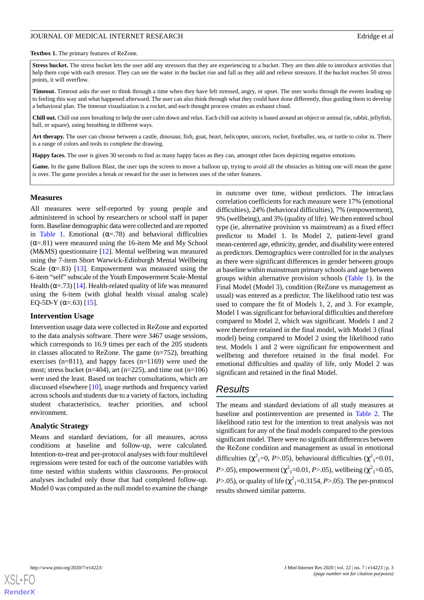#### JOURNAL OF MEDICAL INTERNET RESEARCH Edridge et al. Edridge et al.

#### <span id="page-2-0"></span>**Textbox 1.** The primary features of ReZone.

Stress bucket. The stress bucket lets the user add any stressors that they are experiencing to a bucket. They are then able to introduce activities that help them cope with each stressor. They can see the water in the bucket rise and fall as they add and relieve stressors. If the bucket reaches 50 stress points, it will overflow.

**Timeout.** Timeout asks the user to think through a time when they have felt stressed, angry, or upset. The user works through the events leading up to feeling this way and what happened afterward. The user can also think through what they could have done differently, thus guiding them to develop a behavioral plan. The timeout visualization is a rocket, and each thought process creates an exhaust cloud.

**Chill out.** Chill out uses breathing to help the user calm down and relax. Each chill out activity is based around an object or animal (ie, rabbit, jellyfish, ball, or square), using breathing in different ways.

**Art therapy.** The user can choose between a castle, dinosaur, fish, goat, heart, helicopter, unicorn, rocket, footballer, sea, or turtle to color in. There is a range of colors and tools to complete the drawing.

**Happy faces.** The user is given 30 seconds to find as many happy faces as they can, amongst other faces depicting negative emotions.

**Game***.* In the game Balloon Blast, the user taps the screen to move a balloon up, trying to avoid all the obstacles as hitting one will mean the game is over. The game provides a break or reward for the user in between uses of the other features.

#### **Measures**

All measures were self-reported by young people and administered in school by researchers or school staff in paper form. Baseline demographic data were collected and are reported in [Table 1.](#page-1-0) Emotional ( $\alpha = .78$ ) and behavioral difficulties  $(\alpha = .81)$  were measured using the 16-item Me and My School (M&MS) questionnaire [\[12](#page-4-10)]. Mental wellbeing was measured using the 7-item Short Warwick-Edinburgh Mental Wellbeing Scale ( $\alpha$ =.83) [\[13](#page-4-11)]. Empowerment was measured using the 6-item "self" subscale of the Youth Empowerment Scale-Mental Health ( $\alpha$ =.73) [[14](#page-4-12)]. Health-related quality of life was measured using the 6-item (with global health visual analog scale) EQ-5D-Y ( $\alpha$ =.63) [\[15](#page-4-13)].

#### **Intervention Usage**

Intervention usage data were collected in ReZone and exported to the data analysis software. There were 3467 usage sessions, which corresponds to 16.9 times per each of the 205 students in classes allocated to ReZone. The game (n=752), breathing exercises (n=811), and happy faces (n=1169) were used the most; stress bucket (n=404), art (n=225), and time out (n=106) were used the least. Based on teacher consultations, which are discussed elsewhere [\[10](#page-4-8)], usage methods and frequency varied across schools and students due to a variety of factors, including student characteristics, teacher priorities, and school environment.

#### **Analytic Strategy**

Means and standard deviations, for all measures, across conditions at baseline and follow-up, were calculated. Intention-to-treat and per-protocol analyses with four multilevel regressions were tested for each of the outcome variables with time nested within students within classrooms. Per-protocol analyses included only those that had completed follow-up. Model 0 was computed as the null model to examine the change

in outcome over time, without predictors. The intraclass correlation coefficients for each measure were 17% (emotional difficulties), 24% (behavioral difficulties), 7% (empowerment), 9% (wellbeing), and 3% (quality of life). We then entered school type (ie, alternative provision vs mainstream) as a fixed effect predictor to Model 1. In Model 2, patient-level grand mean-centered age, ethnicity, gender, and disability were entered as predictors. Demographics were controlled for in the analyses as there were significant differences in gender between groups at baseline within mainstream primary schools and age between groups within alternative provision schools [\(Table 1\)](#page-1-0). In the Final Model (Model 3), condition (ReZone vs management as usual) was entered as a predictor. The likelihood ratio test was used to compare the fit of Models 1, 2, and 3. For example, Model 1 was significant for behavioral difficulties and therefore compared to Model 2, which was significant. Models 1 and 2 were therefore retained in the final model, with Model 3 (final model) being compared to Model 2 using the likelihood ratio test. Models 1 and 2 were significant for empowerment and wellbeing and therefore retained in the final model. For emotional difficulties and quality of life, only Model 2 was significant and retained in the final Model.

### *Results*

The means and standard deviations of all study measures at baseline and postintervention are presented in [Table 2](#page-3-0). The likelihood ratio test for the intention to treat analysis was not significant for any of the final models compared to the previous significant model. There were no significant differences between the ReZone condition and management as usual in emotional difficulties ( $\chi^2$ <sub>1</sub>=0, *P*>.05), behavioural difficulties ( $\chi^2$ <sub>1</sub>=0.01, *P*>.05), empowerment ( $\chi^2$ <sub>1</sub>=0.01, *P*>.05), wellbeing ( $\chi^2$ <sub>1</sub>=0.05, *P*>.05), or quality of life ( $\chi^2$ <sub>1</sub>=0.3154, *P*>.05). The per-protocol results showed similar patterns.

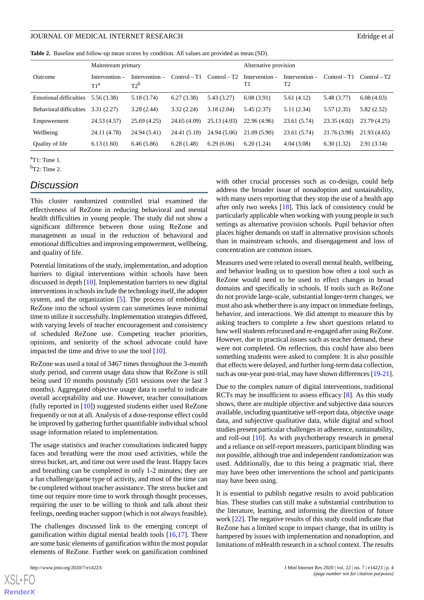#### JOURNAL OF MEDICAL INTERNET RESEARCH Edridge et al. Edridge et al.

<span id="page-3-0"></span>**Table 2.** Baseline and follow-up mean scores by condition. All values are provided as mean (SD).

|                               | Mainstream primary                  |                            |                |                | Alternative provision  |                        |                |                |
|-------------------------------|-------------------------------------|----------------------------|----------------|----------------|------------------------|------------------------|----------------|----------------|
| Outcome                       | Intervention $-$<br>T1 <sup>a</sup> | Intervention $-$<br>$T2^b$ | $Control - T1$ | $Control - T2$ | Intervention $-$<br>T1 | Intervention $-$<br>T2 | $Control - T1$ | $Control - T2$ |
| <b>Emotional difficulties</b> | 5.56 (3.38)                         | 5.18 (3.74)                | 6.27(3.38)     | 5.43(3.27)     | 6.08(3.91)             | 5.61(4.12)             | 5.48 (3.77)    | 6.08(4.03)     |
| Behavioral difficulties       | 3.31(2.27)                          | 3.28(2.44)                 | 3.32(2.24)     | 3.18(2.04)     | 5.45(2.37)             | 5.11(2.34)             | 5.57(2.35)     | 5.82(2.52)     |
| Empowerment                   | 24.53 (4.57)                        | 25.69(4.25)                | 24.65 (4.09)   | 25.13 (4.03)   | 22.96 (4.96)           | 23.61(5.74)            | 23.35(4.02)    | 23.79(4.25)    |
| Wellbeing                     | 24.11 (4.78)                        | 24.94 (5.41)               | 24.41 (5.18)   | 24.94 (5.06)   | 21.09(5.90)            | 23.61 (5.74)           | 21.76 (3.98)   | 21.93(4.65)    |
| Quality of life               | 6.13(1.60)                          | 6.46(5.86)                 | 6.28(1.48)     | 6.29(6.06)     | 6.20(1.24)             | 4.04(3.08)             | 6.30(1.32)     | 2.91(3.14)     |

 $a$ T1: Time 1.

 $bT2$ : Time 2.

# *Discussion*

This cluster randomized controlled trial examined the effectiveness of ReZone in reducing behavioral and mental health difficulties in young people. The study did not show a significant difference between those using ReZone and management as usual in the reduction of behavioral and emotional difficulties and improving empowerment, wellbeing, and quality of life.

Potential limitations of the study, implementation, and adoption barriers to digital interventions within schools have been discussed in depth [[10\]](#page-4-8). Implementation barriers to new digital interventions in schools include the technology itself, the adopter system, and the organization [[5](#page-4-4)]. The process of embedding ReZone into the school system can sometimes leave minimal time to utilize it successfully. Implementation strategies differed, with varying levels of teacher encouragement and consistency of scheduled ReZone use. Competing teacher priorities, opinions, and seniority of the school advocate could have impacted the time and drive to use the tool  $[10]$  $[10]$ .

ReZone was used a total of 3467 times throughout the 3-month study period, and current usage data show that ReZone is still being used 10 months poststudy (501 sessions over the last 3 months). Aggregated objective usage data is useful to indicate overall acceptability and use. However, teacher consultations (fully reported in [[10\]](#page-4-8)) suggested students either used ReZone frequently or not at all. Analysis of a dose-response effect could be improved by gathering further quantifiable individual school usage information related to implementation.

The usage statistics and teacher consultations indicated happy faces and breathing were the most used activities, while the stress bucket, art, and time out were used the least. Happy faces and breathing can be completed in only 1-2 minutes; they are a fun challenge/game type of activity, and most of the time can be completed without teacher assistance. The stress bucket and time out require more time to work through thought processes, requiring the user to be willing to think and talk about their feelings, needing teacher support (which is not always feasible).

The challenges discussed link to the emerging concept of gamification within digital mental health tools [[16](#page-4-14)[,17](#page-5-0)]. There are some basic elements of gamification within the most popular elements of ReZone. Further work on gamification combined

with other crucial processes such as co-design, could help address the broader issue of nonadoption and sustainability, with many users reporting that they stop the use of a health app after only two weeks [\[18](#page-5-1)]. This lack of consistency could be particularly applicable when working with young people in such settings as alternative provision schools. Pupil behavior often places higher demands on staff in alternative provision schools than in mainstream schools, and disengagement and loss of concentration are common issues.

Measures used were related to overall mental health, wellbeing, and behavior leading us to question how often a tool such as ReZone would need to be used to effect changes in broad domains and specifically in schools. If tools such as ReZone do not provide large-scale, substantial longer-term changes, we must also ask whether there is any impact on immediate feelings, behavior, and interactions. We did attempt to measure this by asking teachers to complete a few short questions related to how well students refocused and re-engaged after using ReZone. However, due to practical issues such as teacher demand, these were not completed. On reflection, this could have also been something students were asked to complete. It is also possible that effects were delayed, and further long-term data collection, such as one-year post-trial, may have shown differences [\[19](#page-5-2)[-21](#page-5-3)].

Due to the complex nature of digital interventions, traditional RCTs may be insufficient to assess efficacy [\[8](#page-4-6)]. As this study shows, there are multiple objective and subjective data sources available, including quantitative self-report data, objective usage data, and subjective qualitative data, while digital and school studies present particular challenges in adherence, sustainability, and roll-out [\[10](#page-4-8)]. As with psychotherapy research in general and a reliance on self-report measures, participant blinding was not possible, although true and independent randomization was used. Additionally, due to this being a pragmatic trial, there may have been other interventions the school and participants may have been using.

It is essential to publish negative results to avoid publication bias. These studies can still make a substantial contribution to the literature, learning, and informing the direction of future work [[22\]](#page-5-4). The negative results of this study could indicate that ReZone has a limited scope to impact change, that its utility is hampered by issues with implementation and nonadoption, and limitations of mHealth research in a school context. The results

```
XS • FC
RenderX
```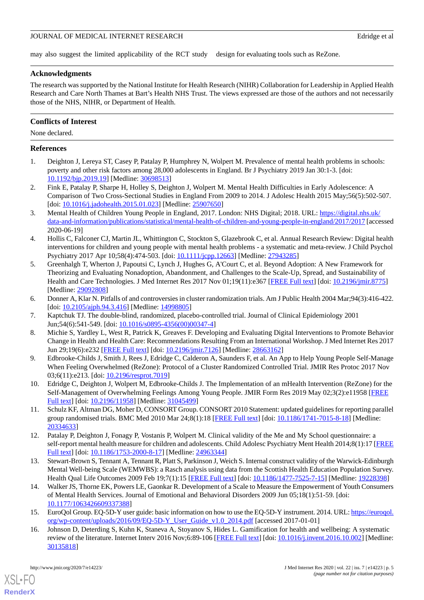#### JOURNAL OF MEDICAL INTERNET RESEARCH Education of the state of all the state of all the state of all the state of all the state of all the state of all the state of all the state of all the state of all the state of all th

may also suggest the limited applicability of the RCT study design for evaluating tools such as ReZone.

#### **Acknowledgments**

The research was supported by the National Institute for Health Research (NIHR) Collaboration for Leadership in Applied Health Research and Care North Thames at Bart's Health NHS Trust. The views expressed are those of the authors and not necessarily those of the NHS, NIHR, or Department of Health.

#### **Conflicts of Interest**

None declared.

#### <span id="page-4-0"></span>**References**

- <span id="page-4-1"></span>1. Deighton J, Lereya ST, Casey P, Patalay P, Humphrey N, Wolpert M. Prevalence of mental health problems in schools: poverty and other risk factors among 28,000 adolescents in England. Br J Psychiatry 2019 Jan 30:1-3. [doi: [10.1192/bjp.2019.19\]](http://dx.doi.org/10.1192/bjp.2019.19) [Medline: [30698513](http://www.ncbi.nlm.nih.gov/entrez/query.fcgi?cmd=Retrieve&db=PubMed&list_uids=30698513&dopt=Abstract)]
- <span id="page-4-2"></span>2. Fink E, Patalay P, Sharpe H, Holley S, Deighton J, Wolpert M. Mental Health Difficulties in Early Adolescence: A Comparison of Two Cross-Sectional Studies in England From 2009 to 2014. J Adolesc Health 2015 May;56(5):502-507. [doi: [10.1016/j.jadohealth.2015.01.023\]](http://dx.doi.org/10.1016/j.jadohealth.2015.01.023) [Medline: [25907650](http://www.ncbi.nlm.nih.gov/entrez/query.fcgi?cmd=Retrieve&db=PubMed&list_uids=25907650&dopt=Abstract)]
- <span id="page-4-3"></span>3. Mental Health of Children Young People in England, 2017. London: NHS Digital; 2018. URL: [https://digital.nhs.uk/](https://digital.nhs.uk/data-and-information/publications/statistical/mental-health-of-children-and-young-people-in-england/2017/2017) [data-and-information/publications/statistical/mental-health-of-children-and-young-people-in-england/2017/2017](https://digital.nhs.uk/data-and-information/publications/statistical/mental-health-of-children-and-young-people-in-england/2017/2017) [accessed 2020-06-19]
- <span id="page-4-4"></span>4. Hollis C, Falconer CJ, Martin JL, Whittington C, Stockton S, Glazebrook C, et al. Annual Research Review: Digital health interventions for children and young people with mental health problems - a systematic and meta-review. J Child Psychol Psychiatry 2017 Apr 10;58(4):474-503. [doi: [10.1111/jcpp.12663\]](http://dx.doi.org/10.1111/jcpp.12663) [Medline: [27943285](http://www.ncbi.nlm.nih.gov/entrez/query.fcgi?cmd=Retrieve&db=PubMed&list_uids=27943285&dopt=Abstract)]
- <span id="page-4-5"></span>5. Greenhalgh T, Wherton J, Papoutsi C, Lynch J, Hughes G, A'Court C, et al. Beyond Adoption: A New Framework for Theorizing and Evaluating Nonadoption, Abandonment, and Challenges to the Scale-Up, Spread, and Sustainability of Health and Care Technologies. J Med Internet Res 2017 Nov 01;19(11):e367 [\[FREE Full text](https://www.jmir.org/2017/11/e367/)] [doi: [10.2196/jmir.8775\]](http://dx.doi.org/10.2196/jmir.8775) [Medline: [29092808](http://www.ncbi.nlm.nih.gov/entrez/query.fcgi?cmd=Retrieve&db=PubMed&list_uids=29092808&dopt=Abstract)]
- <span id="page-4-6"></span>6. Donner A, Klar N. Pitfalls of and controversies in cluster randomization trials. Am J Public Health 2004 Mar;94(3):416-422. [doi: [10.2105/ajph.94.3.416\]](http://dx.doi.org/10.2105/ajph.94.3.416) [Medline: [14998805\]](http://www.ncbi.nlm.nih.gov/entrez/query.fcgi?cmd=Retrieve&db=PubMed&list_uids=14998805&dopt=Abstract)
- <span id="page-4-7"></span>7. Kaptchuk TJ. The double-blind, randomized, placebo-controlled trial. Journal of Clinical Epidemiology 2001 Jun;54(6):541-549. [doi: [10.1016/s0895-4356\(00\)00347-4\]](http://dx.doi.org/10.1016/s0895-4356(00)00347-4)
- 8. Michie S, Yardley L, West R, Patrick K, Greaves F. Developing and Evaluating Digital Interventions to Promote Behavior Change in Health and Health Care: Recommendations Resulting From an International Workshop. J Med Internet Res 2017 Jun 29;19(6):e232 [\[FREE Full text\]](https://www.jmir.org/2017/6/e232/) [doi: [10.2196/jmir.7126\]](http://dx.doi.org/10.2196/jmir.7126) [Medline: [28663162\]](http://www.ncbi.nlm.nih.gov/entrez/query.fcgi?cmd=Retrieve&db=PubMed&list_uids=28663162&dopt=Abstract)
- <span id="page-4-9"></span><span id="page-4-8"></span>9. Edbrooke-Childs J, Smith J, Rees J, Edridge C, Calderon A, Saunders F, et al. An App to Help Young People Self-Manage When Feeling Overwhelmed (ReZone): Protocol of a Cluster Randomized Controlled Trial. JMIR Res Protoc 2017 Nov 03;6(11):e213. [doi: [10.2196/resprot.7019](http://dx.doi.org/10.2196/resprot.7019)]
- <span id="page-4-10"></span>10. Edridge C, Deighton J, Wolpert M, Edbrooke-Childs J. The Implementation of an mHealth Intervention (ReZone) for the Self-Management of Overwhelming Feelings Among Young People. JMIR Form Res 2019 May 02;3(2):e11958 [\[FREE](https://formative.jmir.org/2019/2/e11958/) [Full text\]](https://formative.jmir.org/2019/2/e11958/) [doi: [10.2196/11958\]](http://dx.doi.org/10.2196/11958) [Medline: [31045499](http://www.ncbi.nlm.nih.gov/entrez/query.fcgi?cmd=Retrieve&db=PubMed&list_uids=31045499&dopt=Abstract)]
- <span id="page-4-11"></span>11. Schulz KF, Altman DG, Moher D, CONSORT Group. CONSORT 2010 Statement: updated guidelines for reporting parallel group randomised trials. BMC Med 2010 Mar 24;8(1):18 [[FREE Full text](https://bmcmedicine.biomedcentral.com/articles/10.1186/1741-7015-8-18)] [doi: [10.1186/1741-7015-8-18\]](http://dx.doi.org/10.1186/1741-7015-8-18) [Medline: [20334633](http://www.ncbi.nlm.nih.gov/entrez/query.fcgi?cmd=Retrieve&db=PubMed&list_uids=20334633&dopt=Abstract)]
- <span id="page-4-12"></span>12. Patalay P, Deighton J, Fonagy P, Vostanis P, Wolpert M. Clinical validity of the Me and My School questionnaire: a self-report mental health measure for children and adolescents. Child Adolesc Psychiatry Ment Health 2014;8(1):17 [\[FREE](https://capmh.biomedcentral.com/articles/10.1186/1753-2000-8-17) [Full text\]](https://capmh.biomedcentral.com/articles/10.1186/1753-2000-8-17) [doi: [10.1186/1753-2000-8-17\]](http://dx.doi.org/10.1186/1753-2000-8-17) [Medline: [24963344](http://www.ncbi.nlm.nih.gov/entrez/query.fcgi?cmd=Retrieve&db=PubMed&list_uids=24963344&dopt=Abstract)]
- <span id="page-4-13"></span>13. Stewart-Brown S, Tennant A, Tennant R, Platt S, Parkinson J, Weich S. Internal construct validity of the Warwick-Edinburgh Mental Well-being Scale (WEMWBS): a Rasch analysis using data from the Scottish Health Education Population Survey. Health Qual Life Outcomes 2009 Feb 19;7(1):15 [[FREE Full text](https://hqlo.biomedcentral.com/articles/10.1186/1477-7525-7-15)] [doi: [10.1186/1477-7525-7-15\]](http://dx.doi.org/10.1186/1477-7525-7-15) [Medline: [19228398\]](http://www.ncbi.nlm.nih.gov/entrez/query.fcgi?cmd=Retrieve&db=PubMed&list_uids=19228398&dopt=Abstract)
- <span id="page-4-14"></span>14. Walker JS, Thorne EK, Powers LE, Gaonkar R. Development of a Scale to Measure the Empowerment of Youth Consumers of Mental Health Services. Journal of Emotional and Behavioral Disorders 2009 Jun 05;18(1):51-59. [doi: [10.1177/1063426609337388\]](http://dx.doi.org/10.1177/1063426609337388)
- 15. EuroQol Group. EQ-5D-Y user guide: basic information on how to use the EQ-5D-Y instrument. 2014. URL: [https://euroqol.](https://euroqol.org/wp-content/uploads/2016/09/EQ-5D-Y_User_Guide_v1.0_2014.pdf) [org/wp-content/uploads/2016/09/EQ-5D-Y\\_User\\_Guide\\_v1.0\\_2014.pdf](https://euroqol.org/wp-content/uploads/2016/09/EQ-5D-Y_User_Guide_v1.0_2014.pdf) [accessed 2017-01-01]
- 16. Johnson D, Deterding S, Kuhn K, Staneva A, Stoyanov S, Hides L. Gamification for health and wellbeing: A systematic review of the literature. Internet Interv 2016 Nov;6:89-106 [\[FREE Full text\]](https://linkinghub.elsevier.com/retrieve/pii/S2214-7829(16)30038-0) [doi: [10.1016/j.invent.2016.10.002\]](http://dx.doi.org/10.1016/j.invent.2016.10.002) [Medline: [30135818](http://www.ncbi.nlm.nih.gov/entrez/query.fcgi?cmd=Retrieve&db=PubMed&list_uids=30135818&dopt=Abstract)]

[XSL](http://www.w3.org/Style/XSL)•FO **[RenderX](http://www.renderx.com/)**